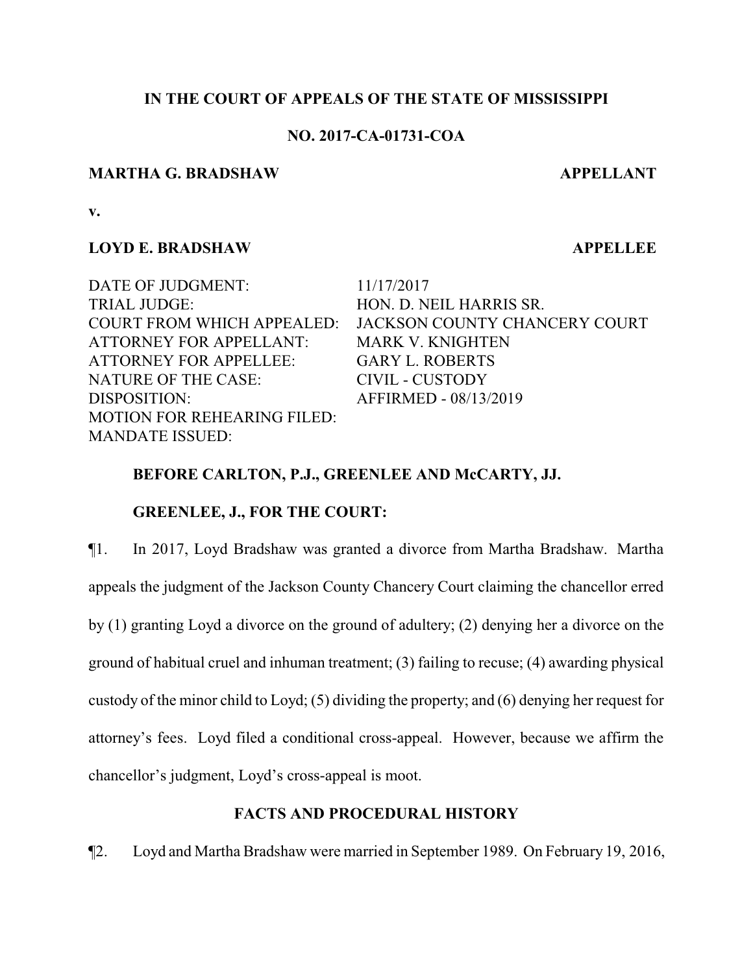## **IN THE COURT OF APPEALS OF THE STATE OF MISSISSIPPI**

## **NO. 2017-CA-01731-COA**

#### **MARTHA G. BRADSHAW APPELLANT**

**v.**

## **LOYD E. BRADSHAW APPELLEE**

MANDATE ISSUED:

DATE OF JUDGMENT: 11/17/2017 TRIAL JUDGE: HON. D. NEIL HARRIS SR. COURT FROM WHICH APPEALED: JACKSON COUNTY CHANCERY COURT ATTORNEY FOR APPELLANT: MARK V. KNIGHTEN ATTORNEY FOR APPELLEE: GARY L. ROBERTS NATURE OF THE CASE: CIVIL - CUSTODY DISPOSITION: AFFIRMED - 08/13/2019

## **BEFORE CARLTON, P.J., GREENLEE AND McCARTY, JJ.**

## **GREENLEE, J., FOR THE COURT:**

MOTION FOR REHEARING FILED:

¶1. In 2017, Loyd Bradshaw was granted a divorce from Martha Bradshaw. Martha appeals the judgment of the Jackson County Chancery Court claiming the chancellor erred by (1) granting Loyd a divorce on the ground of adultery; (2) denying her a divorce on the ground of habitual cruel and inhuman treatment; (3) failing to recuse; (4) awarding physical custody of the minor child to Loyd; (5) dividing the property; and (6) denying her request for attorney's fees. Loyd filed a conditional cross-appeal. However, because we affirm the chancellor's judgment, Loyd's cross-appeal is moot.

# **FACTS AND PROCEDURAL HISTORY**

¶2. Loyd and Martha Bradshaw were married in September 1989. On February 19, 2016,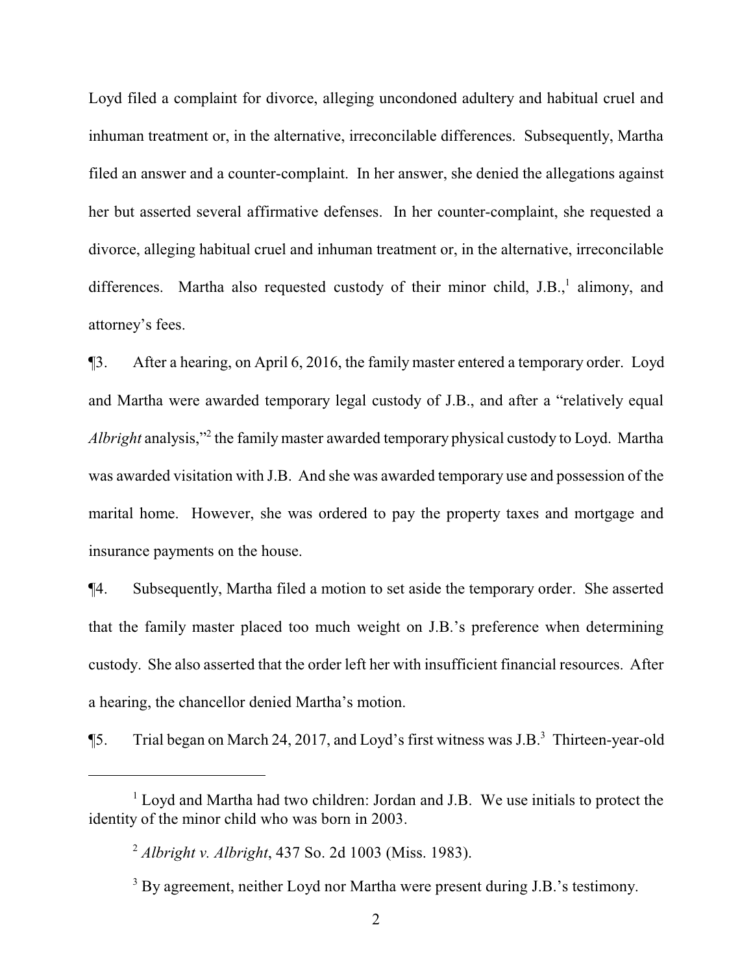Loyd filed a complaint for divorce, alleging uncondoned adultery and habitual cruel and inhuman treatment or, in the alternative, irreconcilable differences. Subsequently, Martha filed an answer and a counter-complaint. In her answer, she denied the allegations against her but asserted several affirmative defenses. In her counter-complaint, she requested a divorce, alleging habitual cruel and inhuman treatment or, in the alternative, irreconcilable differences. Martha also requested custody of their minor child, J.B.,<sup>1</sup> alimony, and attorney's fees.

¶3. After a hearing, on April 6, 2016, the family master entered a temporary order. Loyd and Martha were awarded temporary legal custody of J.B., and after a "relatively equal *Albright* analysis,"<sup>2</sup> the family master awarded temporary physical custody to Loyd. Martha was awarded visitation with J.B. And she was awarded temporary use and possession of the marital home. However, she was ordered to pay the property taxes and mortgage and insurance payments on the house.

¶4. Subsequently, Martha filed a motion to set aside the temporary order. She asserted that the family master placed too much weight on J.B.'s preference when determining custody. She also asserted that the order left her with insufficient financial resources. After a hearing, the chancellor denied Martha's motion.

<sup>¶5.</sup> Trial began on March 24, 2017, and Loyd's first witness was J.B.<sup>3</sup> Thirteen-year-old

<sup>&</sup>lt;sup>1</sup> Loyd and Martha had two children: Jordan and J.B. We use initials to protect the identity of the minor child who was born in 2003.

<sup>2</sup>  *Albright v. Albright*, 437 So. 2d 1003 (Miss. 1983).

<sup>&</sup>lt;sup>3</sup> By agreement, neither Loyd nor Martha were present during J.B.'s testimony.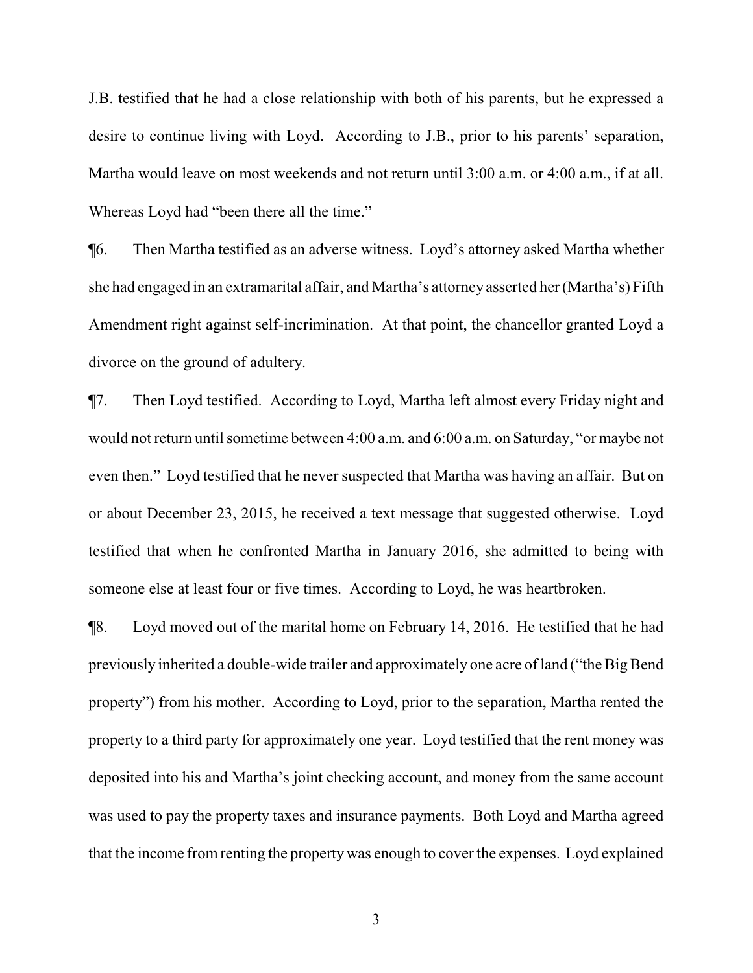J.B. testified that he had a close relationship with both of his parents, but he expressed a desire to continue living with Loyd. According to J.B., prior to his parents' separation, Martha would leave on most weekends and not return until 3:00 a.m. or 4:00 a.m., if at all. Whereas Loyd had "been there all the time."

¶6. Then Martha testified as an adverse witness. Loyd's attorney asked Martha whether she had engaged in an extramarital affair, and Martha's attorneyasserted her (Martha's) Fifth Amendment right against self-incrimination. At that point, the chancellor granted Loyd a divorce on the ground of adultery.

¶7. Then Loyd testified. According to Loyd, Martha left almost every Friday night and would not return until sometime between 4:00 a.m. and 6:00 a.m. on Saturday, "or maybe not even then." Loyd testified that he never suspected that Martha was having an affair. But on or about December 23, 2015, he received a text message that suggested otherwise. Loyd testified that when he confronted Martha in January 2016, she admitted to being with someone else at least four or five times. According to Loyd, he was heartbroken.

¶8. Loyd moved out of the marital home on February 14, 2016. He testified that he had previously inherited a double-wide trailer and approximately one acre of land ("the Big Bend property") from his mother. According to Loyd, prior to the separation, Martha rented the property to a third party for approximately one year. Loyd testified that the rent money was deposited into his and Martha's joint checking account, and money from the same account was used to pay the property taxes and insurance payments. Both Loyd and Martha agreed that the income fromrenting the propertywas enough to cover the expenses. Loyd explained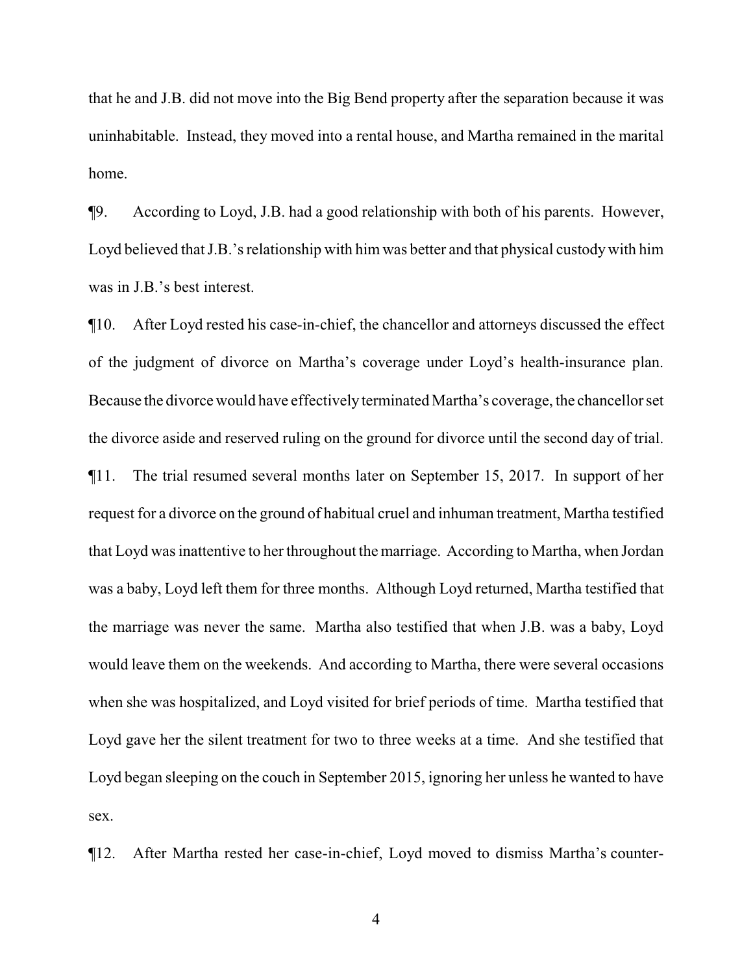that he and J.B. did not move into the Big Bend property after the separation because it was uninhabitable. Instead, they moved into a rental house, and Martha remained in the marital home.

¶9. According to Loyd, J.B. had a good relationship with both of his parents. However, Loyd believed that J.B.'s relationship with him was better and that physical custody with him was in J.B.'s best interest.

¶10. After Loyd rested his case-in-chief, the chancellor and attorneys discussed the effect of the judgment of divorce on Martha's coverage under Loyd's health-insurance plan. Because the divorce would have effectively terminated Martha's coverage, the chancellor set the divorce aside and reserved ruling on the ground for divorce until the second day of trial. ¶11. The trial resumed several months later on September 15, 2017. In support of her request for a divorce on the ground of habitual cruel and inhuman treatment, Martha testified that Loyd was inattentive to her throughout the marriage. According to Martha, when Jordan was a baby, Loyd left them for three months. Although Loyd returned, Martha testified that the marriage was never the same. Martha also testified that when J.B. was a baby, Loyd would leave them on the weekends. And according to Martha, there were several occasions when she was hospitalized, and Loyd visited for brief periods of time. Martha testified that Loyd gave her the silent treatment for two to three weeks at a time. And she testified that Loyd began sleeping on the couch in September 2015, ignoring her unless he wanted to have sex.

¶12. After Martha rested her case-in-chief, Loyd moved to dismiss Martha's counter-

4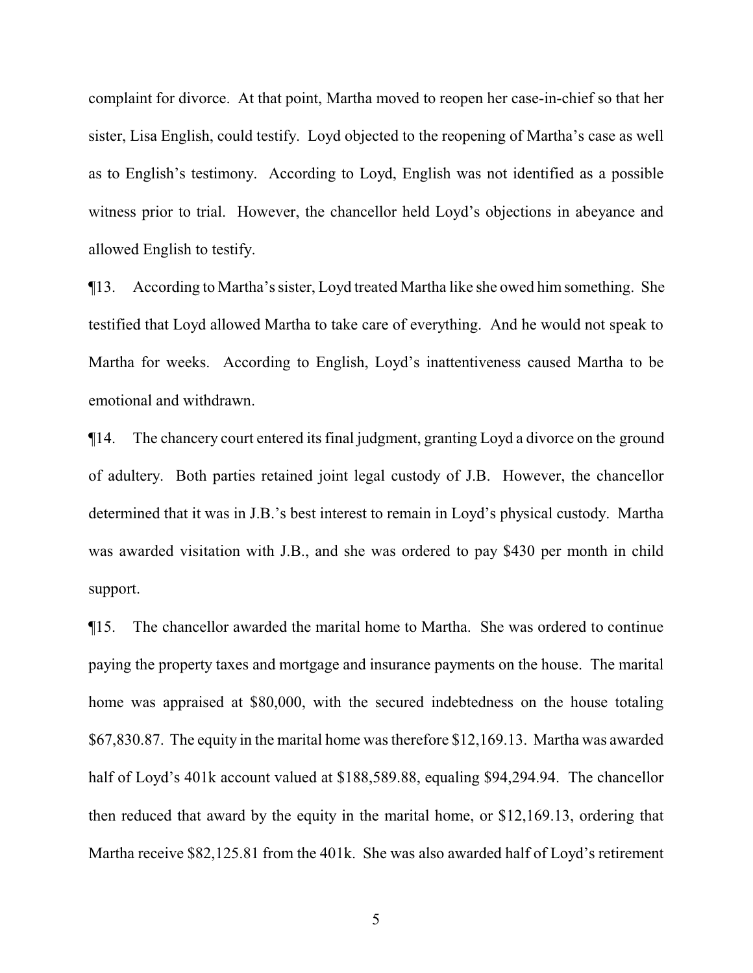complaint for divorce. At that point, Martha moved to reopen her case-in-chief so that her sister, Lisa English, could testify. Loyd objected to the reopening of Martha's case as well as to English's testimony. According to Loyd, English was not identified as a possible witness prior to trial. However, the chancellor held Loyd's objections in abeyance and allowed English to testify.

¶13. According to Martha's sister, Loyd treated Martha like she owed him something. She testified that Loyd allowed Martha to take care of everything. And he would not speak to Martha for weeks. According to English, Loyd's inattentiveness caused Martha to be emotional and withdrawn.

¶14. The chancery court entered its final judgment, granting Loyd a divorce on the ground of adultery. Both parties retained joint legal custody of J.B. However, the chancellor determined that it was in J.B.'s best interest to remain in Loyd's physical custody. Martha was awarded visitation with J.B., and she was ordered to pay \$430 per month in child support.

¶15. The chancellor awarded the marital home to Martha. She was ordered to continue paying the property taxes and mortgage and insurance payments on the house. The marital home was appraised at \$80,000, with the secured indebtedness on the house totaling \$67,830.87. The equity in the marital home was therefore \$12,169.13. Martha was awarded half of Loyd's 401k account valued at \$188,589.88, equaling \$94,294.94. The chancellor then reduced that award by the equity in the marital home, or \$12,169.13, ordering that Martha receive \$82,125.81 from the 401k. She was also awarded half of Loyd's retirement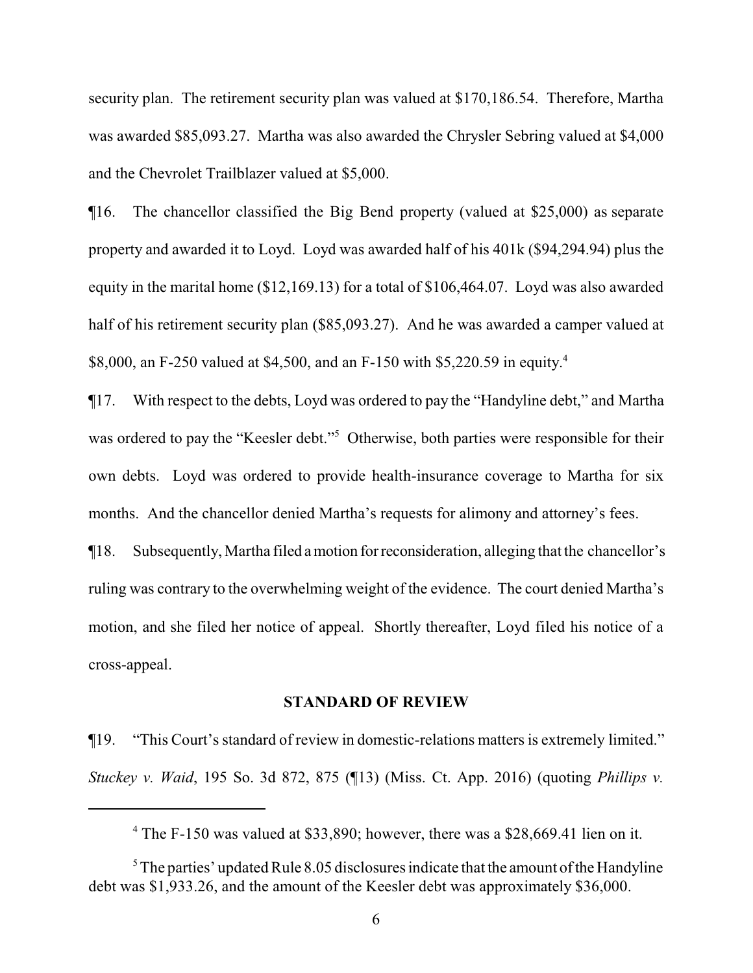security plan. The retirement security plan was valued at \$170,186.54. Therefore, Martha was awarded \$85,093.27. Martha was also awarded the Chrysler Sebring valued at \$4,000 and the Chevrolet Trailblazer valued at \$5,000.

¶16. The chancellor classified the Big Bend property (valued at \$25,000) as separate property and awarded it to Loyd. Loyd was awarded half of his 401k (\$94,294.94) plus the equity in the marital home (\$12,169.13) for a total of \$106,464.07. Loyd was also awarded half of his retirement security plan (\$85,093.27). And he was awarded a camper valued at \$8,000, an F-250 valued at \$4,500, and an F-150 with \$5,220.59 in equity. 4

¶17. With respect to the debts, Loyd was ordered to pay the "Handyline debt," and Martha was ordered to pay the "Keesler debt."<sup>5</sup> Otherwise, both parties were responsible for their own debts. Loyd was ordered to provide health-insurance coverage to Martha for six months. And the chancellor denied Martha's requests for alimony and attorney's fees.

¶18. Subsequently, Martha filed amotion forreconsideration, alleging that the chancellor's ruling was contrary to the overwhelming weight of the evidence. The court denied Martha's motion, and she filed her notice of appeal. Shortly thereafter, Loyd filed his notice of a cross-appeal.

#### **STANDARD OF REVIEW**

¶19. "This Court's standard of review in domestic-relations matters is extremely limited." *Stuckey v. Waid*, 195 So. 3d 872, 875 (¶13) (Miss. Ct. App. 2016) (quoting *Phillips v.*

<sup>&</sup>lt;sup>4</sup> The F-150 was valued at \$33,890; however, there was a \$28,669.41 lien on it.

 $5$ The parties' updated Rule 8.05 disclosures indicate that the amount of the Handyline debt was \$1,933.26, and the amount of the Keesler debt was approximately \$36,000.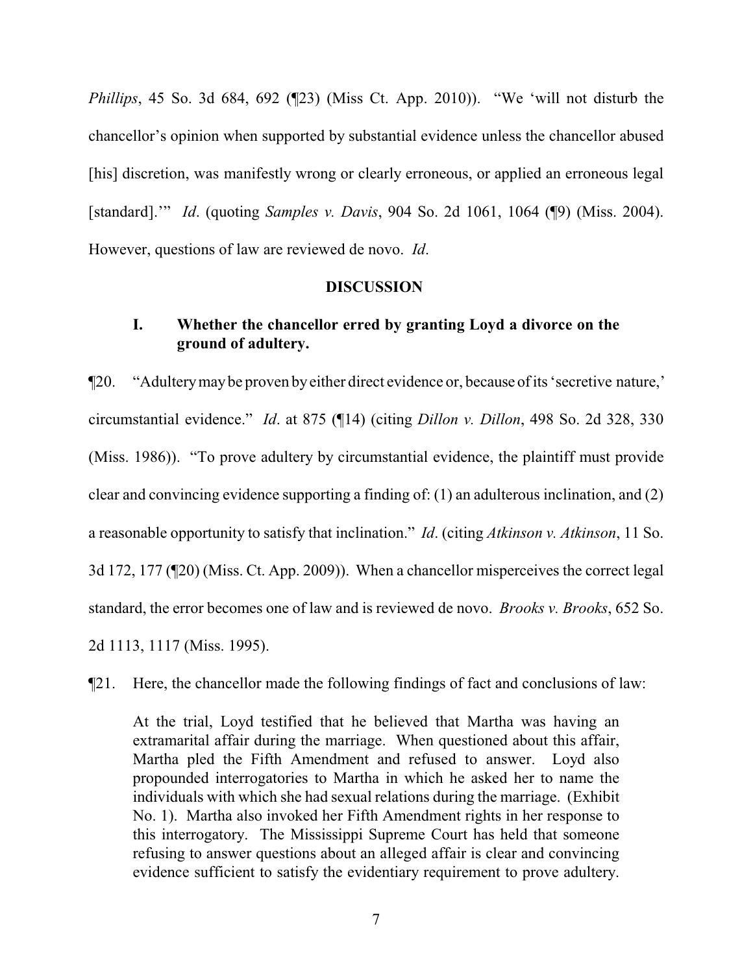*Phillips*, 45 So. 3d 684, 692 (¶23) (Miss Ct. App. 2010)). "We 'will not disturb the chancellor's opinion when supported by substantial evidence unless the chancellor abused [his] discretion, was manifestly wrong or clearly erroneous, or applied an erroneous legal [standard].'" *Id*. (quoting *Samples v. Davis*, 904 So. 2d 1061, 1064 (¶9) (Miss. 2004). However, questions of law are reviewed de novo. *Id*.

#### **DISCUSSION**

# **I. Whether the chancellor erred by granting Loyd a divorce on the ground of adultery.**

¶20. "Adulterymaybe proven byeither direct evidence or, because of its 'secretive nature,' circumstantial evidence." *Id*. at 875 (¶14) (citing *Dillon v. Dillon*, 498 So. 2d 328, 330 (Miss. 1986)). "To prove adultery by circumstantial evidence, the plaintiff must provide clear and convincing evidence supporting a finding of: (1) an adulterous inclination, and (2) a reasonable opportunity to satisfy that inclination." *Id*. (citing *Atkinson v. Atkinson*, 11 So. 3d 172, 177 (¶20) (Miss. Ct. App. 2009)). When a chancellor misperceives the correct legal standard, the error becomes one of law and is reviewed de novo. *Brooks v. Brooks*, 652 So. 2d 1113, 1117 (Miss. 1995).

¶21. Here, the chancellor made the following findings of fact and conclusions of law:

At the trial, Loyd testified that he believed that Martha was having an extramarital affair during the marriage. When questioned about this affair, Martha pled the Fifth Amendment and refused to answer. Loyd also propounded interrogatories to Martha in which he asked her to name the individuals with which she had sexual relations during the marriage. (Exhibit No. 1). Martha also invoked her Fifth Amendment rights in her response to this interrogatory. The Mississippi Supreme Court has held that someone refusing to answer questions about an alleged affair is clear and convincing evidence sufficient to satisfy the evidentiary requirement to prove adultery.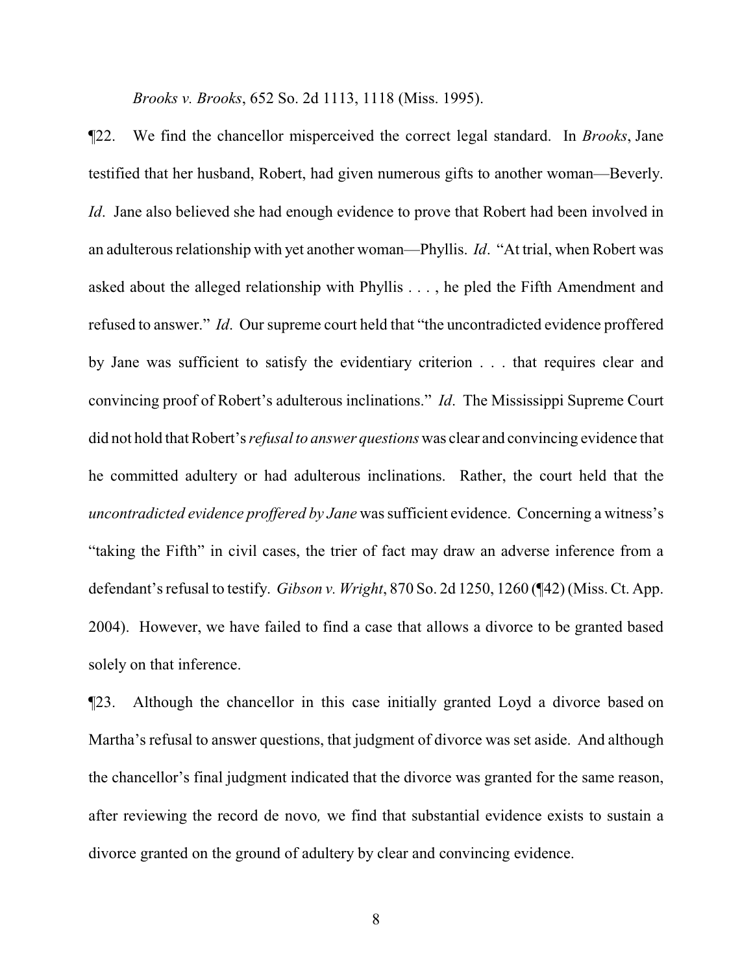*Brooks v. Brooks*, 652 So. 2d 1113, 1118 (Miss. 1995).

¶22. We find the chancellor misperceived the correct legal standard. In *Brooks*, Jane testified that her husband, Robert, had given numerous gifts to another woman—Beverly. *Id.* Jane also believed she had enough evidence to prove that Robert had been involved in an adulterous relationship with yet another woman—Phyllis. *Id*. "At trial, when Robert was asked about the alleged relationship with Phyllis . . . , he pled the Fifth Amendment and refused to answer." *Id*. Our supreme court held that "the uncontradicted evidence proffered by Jane was sufficient to satisfy the evidentiary criterion . . . that requires clear and convincing proof of Robert's adulterous inclinations." *Id*. The Mississippi Supreme Court did not hold that Robert's *refusal to answer questions* was clear and convincing evidence that he committed adultery or had adulterous inclinations. Rather, the court held that the *uncontradicted evidence proffered by Jane* was sufficient evidence. Concerning a witness's "taking the Fifth" in civil cases, the trier of fact may draw an adverse inference from a defendant's refusal to testify. *Gibson v. Wright*, 870 So. 2d 1250, 1260 (¶42) (Miss. Ct. App. 2004). However, we have failed to find a case that allows a divorce to be granted based solely on that inference.

¶23. Although the chancellor in this case initially granted Loyd a divorce based on Martha's refusal to answer questions, that judgment of divorce was set aside. And although the chancellor's final judgment indicated that the divorce was granted for the same reason, after reviewing the record de novo*,* we find that substantial evidence exists to sustain a divorce granted on the ground of adultery by clear and convincing evidence.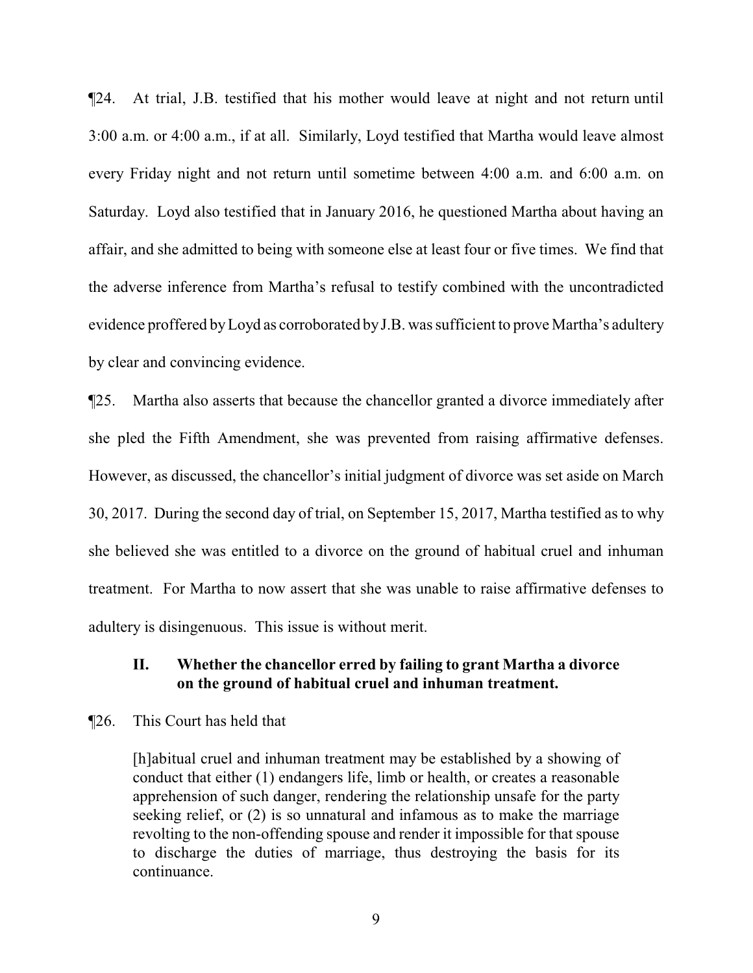¶24. At trial, J.B. testified that his mother would leave at night and not return until 3:00 a.m. or 4:00 a.m., if at all. Similarly, Loyd testified that Martha would leave almost every Friday night and not return until sometime between 4:00 a.m. and 6:00 a.m. on Saturday. Loyd also testified that in January 2016, he questioned Martha about having an affair, and she admitted to being with someone else at least four or five times. We find that the adverse inference from Martha's refusal to testify combined with the uncontradicted evidence proffered byLoyd as corroborated byJ.B. was sufficient to prove Martha's adultery by clear and convincing evidence.

¶25. Martha also asserts that because the chancellor granted a divorce immediately after she pled the Fifth Amendment, she was prevented from raising affirmative defenses. However, as discussed, the chancellor's initial judgment of divorce was set aside on March 30, 2017. During the second day of trial, on September 15, 2017, Martha testified as to why she believed she was entitled to a divorce on the ground of habitual cruel and inhuman treatment. For Martha to now assert that she was unable to raise affirmative defenses to adultery is disingenuous. This issue is without merit.

## **II. Whether the chancellor erred by failing to grant Martha a divorce on the ground of habitual cruel and inhuman treatment.**

#### ¶26. This Court has held that

[h]abitual cruel and inhuman treatment may be established by a showing of conduct that either (1) endangers life, limb or health, or creates a reasonable apprehension of such danger, rendering the relationship unsafe for the party seeking relief, or (2) is so unnatural and infamous as to make the marriage revolting to the non-offending spouse and render it impossible for that spouse to discharge the duties of marriage, thus destroying the basis for its continuance.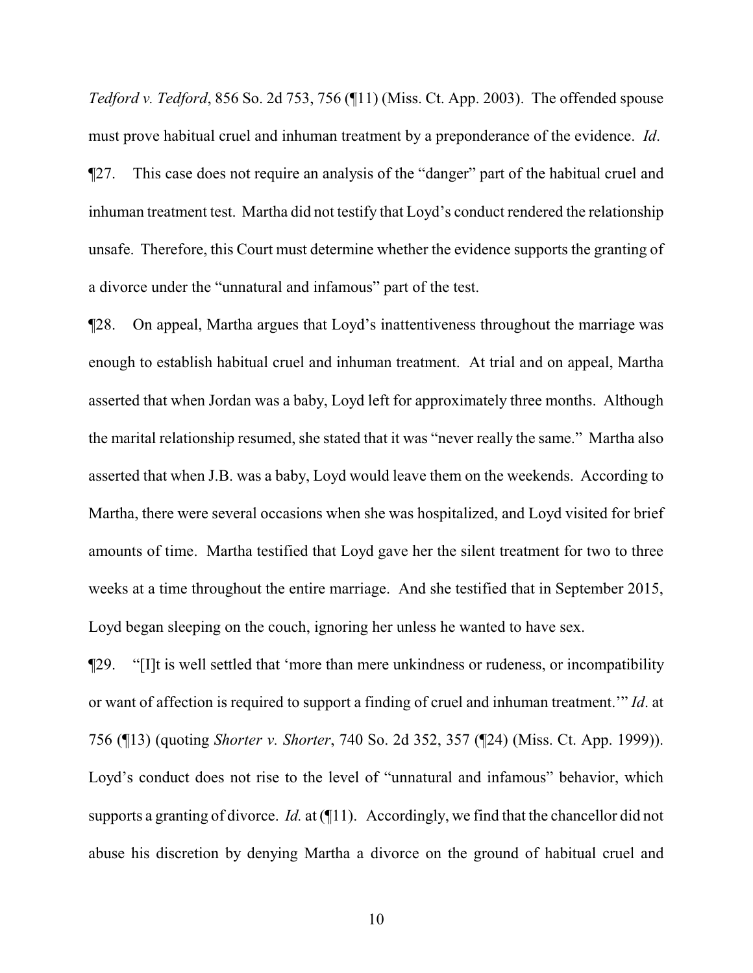*Tedford v. Tedford*, 856 So. 2d 753, 756 (¶11) (Miss. Ct. App. 2003). The offended spouse must prove habitual cruel and inhuman treatment by a preponderance of the evidence. *Id*. ¶27. This case does not require an analysis of the "danger" part of the habitual cruel and inhuman treatment test. Martha did not testify that Loyd's conduct rendered the relationship unsafe. Therefore, this Court must determine whether the evidence supports the granting of a divorce under the "unnatural and infamous" part of the test.

¶28. On appeal, Martha argues that Loyd's inattentiveness throughout the marriage was enough to establish habitual cruel and inhuman treatment. At trial and on appeal, Martha asserted that when Jordan was a baby, Loyd left for approximately three months. Although the marital relationship resumed, she stated that it was "never really the same." Martha also asserted that when J.B. was a baby, Loyd would leave them on the weekends. According to Martha, there were several occasions when she was hospitalized, and Loyd visited for brief amounts of time. Martha testified that Loyd gave her the silent treatment for two to three weeks at a time throughout the entire marriage. And she testified that in September 2015, Loyd began sleeping on the couch, ignoring her unless he wanted to have sex.

¶29. "[I]t is well settled that 'more than mere unkindness or rudeness, or incompatibility or want of affection is required to support a finding of cruel and inhuman treatment.'" *Id*. at 756 (¶13) (quoting *Shorter v. Shorter*, 740 So. 2d 352, 357 (¶24) (Miss. Ct. App. 1999)). Loyd's conduct does not rise to the level of "unnatural and infamous" behavior, which supports a granting of divorce. *Id.* at (¶11). Accordingly, we find that the chancellor did not abuse his discretion by denying Martha a divorce on the ground of habitual cruel and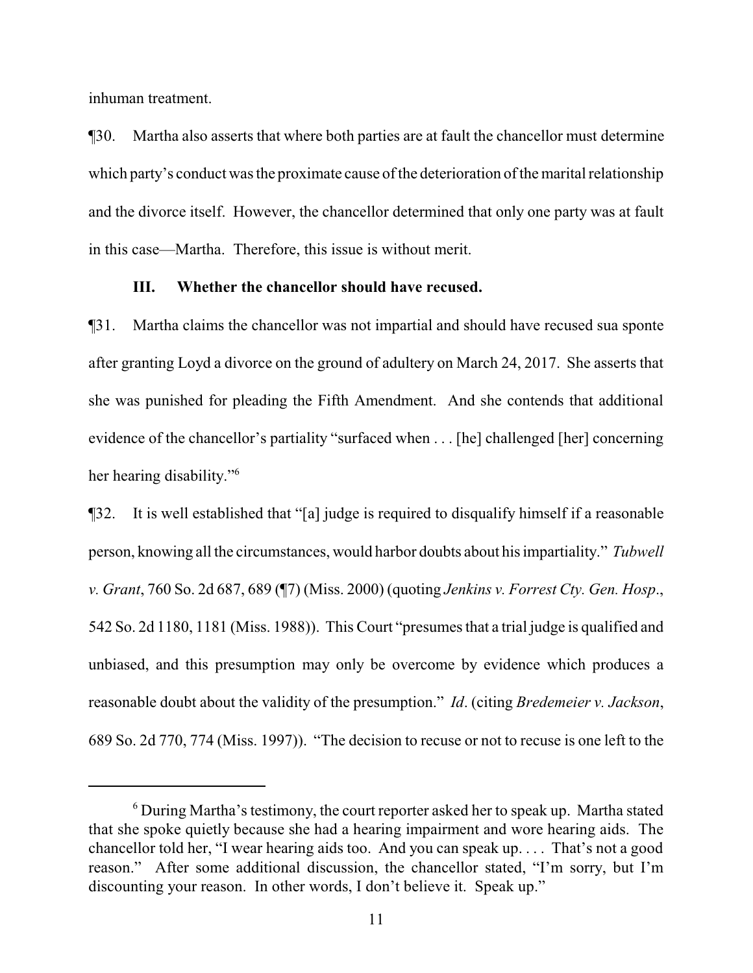inhuman treatment.

¶30. Martha also asserts that where both parties are at fault the chancellor must determine which party's conduct was the proximate cause of the deterioration of the marital relationship and the divorce itself. However, the chancellor determined that only one party was at fault in this case—Martha. Therefore, this issue is without merit.

#### **III. Whether the chancellor should have recused.**

¶31. Martha claims the chancellor was not impartial and should have recused sua sponte after granting Loyd a divorce on the ground of adultery on March 24, 2017. She asserts that she was punished for pleading the Fifth Amendment. And she contends that additional evidence of the chancellor's partiality "surfaced when . . . [he] challenged [her] concerning her hearing disability." 6

¶32. It is well established that "[a] judge is required to disqualify himself if a reasonable person, knowing all the circumstances, would harbor doubts about his impartiality." *Tubwell v. Grant*, 760 So. 2d 687, 689 (¶7) (Miss. 2000) (quoting *Jenkins v. Forrest Cty. Gen. Hosp*., 542 So. 2d 1180, 1181 (Miss. 1988)). This Court "presumes that a trial judge is qualified and unbiased, and this presumption may only be overcome by evidence which produces a reasonable doubt about the validity of the presumption." *Id*. (citing *Bredemeier v. Jackson*, 689 So. 2d 770, 774 (Miss. 1997)). "The decision to recuse or not to recuse is one left to the

<sup>6</sup> During Martha's testimony, the court reporter asked her to speak up. Martha stated that she spoke quietly because she had a hearing impairment and wore hearing aids. The chancellor told her, "I wear hearing aids too. And you can speak up. . . . That's not a good reason." After some additional discussion, the chancellor stated, "I'm sorry, but I'm discounting your reason. In other words, I don't believe it. Speak up."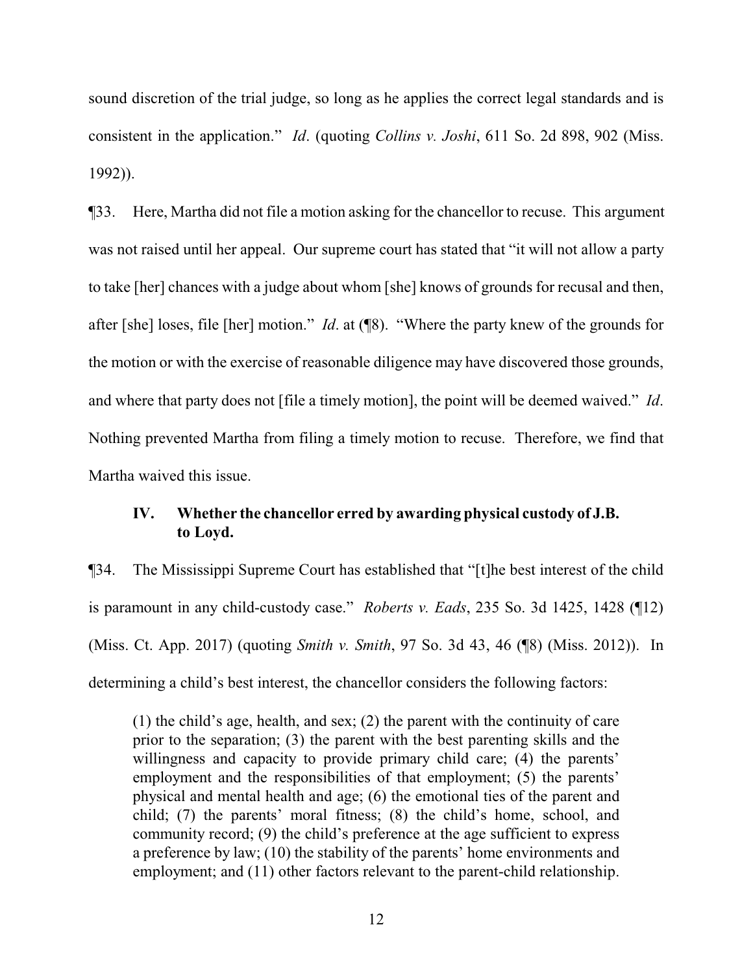sound discretion of the trial judge, so long as he applies the correct legal standards and is consistent in the application." *Id*. (quoting *Collins v. Joshi*, 611 So. 2d 898, 902 (Miss. 1992)).

¶33. Here, Martha did not file a motion asking for the chancellor to recuse. This argument was not raised until her appeal. Our supreme court has stated that "it will not allow a party to take [her] chances with a judge about whom [she] knows of grounds for recusal and then, after [she] loses, file [her] motion." *Id*. at (¶8). "Where the party knew of the grounds for the motion or with the exercise of reasonable diligence may have discovered those grounds, and where that party does not [file a timely motion], the point will be deemed waived." *Id*. Nothing prevented Martha from filing a timely motion to recuse. Therefore, we find that Martha waived this issue.

# **IV. Whether the chancellor erred by awarding physical custody of J.B. to Loyd.**

¶34. The Mississippi Supreme Court has established that "[t]he best interest of the child is paramount in any child-custody case." *Roberts v. Eads*, 235 So. 3d 1425, 1428 (¶12) (Miss. Ct. App. 2017) (quoting *Smith v. Smith*, 97 So. 3d 43, 46 (¶8) (Miss. 2012)). In determining a child's best interest, the chancellor considers the following factors:

(1) the child's age, health, and sex; (2) the parent with the continuity of care prior to the separation; (3) the parent with the best parenting skills and the willingness and capacity to provide primary child care; (4) the parents' employment and the responsibilities of that employment; (5) the parents' physical and mental health and age; (6) the emotional ties of the parent and child; (7) the parents' moral fitness; (8) the child's home, school, and community record; (9) the child's preference at the age sufficient to express a preference by law; (10) the stability of the parents' home environments and employment; and (11) other factors relevant to the parent-child relationship.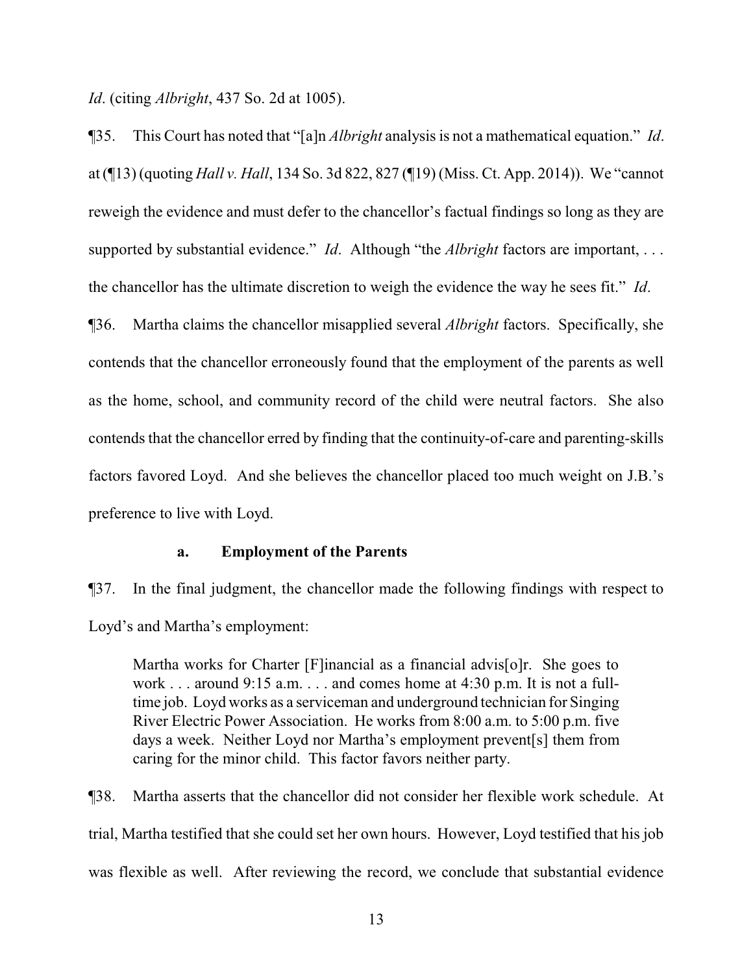*Id*. (citing *Albright*, 437 So. 2d at 1005).

¶35. This Court has noted that "[a]n *Albright* analysis is not a mathematical equation." *Id*. at (¶13) (quoting *Hall v. Hall*, 134 So. 3d 822, 827 (¶19) (Miss. Ct. App. 2014)). We "cannot reweigh the evidence and must defer to the chancellor's factual findings so long as they are supported by substantial evidence." *Id*. Although "the *Albright* factors are important, . . . the chancellor has the ultimate discretion to weigh the evidence the way he sees fit." *Id*. ¶36. Martha claims the chancellor misapplied several *Albright* factors. Specifically, she contends that the chancellor erroneously found that the employment of the parents as well as the home, school, and community record of the child were neutral factors. She also

contends that the chancellor erred by finding that the continuity-of-care and parenting-skills factors favored Loyd. And she believes the chancellor placed too much weight on J.B.'s preference to live with Loyd.

#### **a. Employment of the Parents**

¶37. In the final judgment, the chancellor made the following findings with respect to Loyd's and Martha's employment:

Martha works for Charter [F]inancial as a financial advis[o]r. She goes to work . . . around 9:15 a.m. . . . and comes home at 4:30 p.m. It is not a fulltime job. Loyd works as a serviceman and underground technician for Singing River Electric Power Association. He works from 8:00 a.m. to 5:00 p.m. five days a week. Neither Loyd nor Martha's employment prevent[s] them from caring for the minor child. This factor favors neither party.

¶38. Martha asserts that the chancellor did not consider her flexible work schedule. At trial, Martha testified that she could set her own hours. However, Loyd testified that his job was flexible as well. After reviewing the record, we conclude that substantial evidence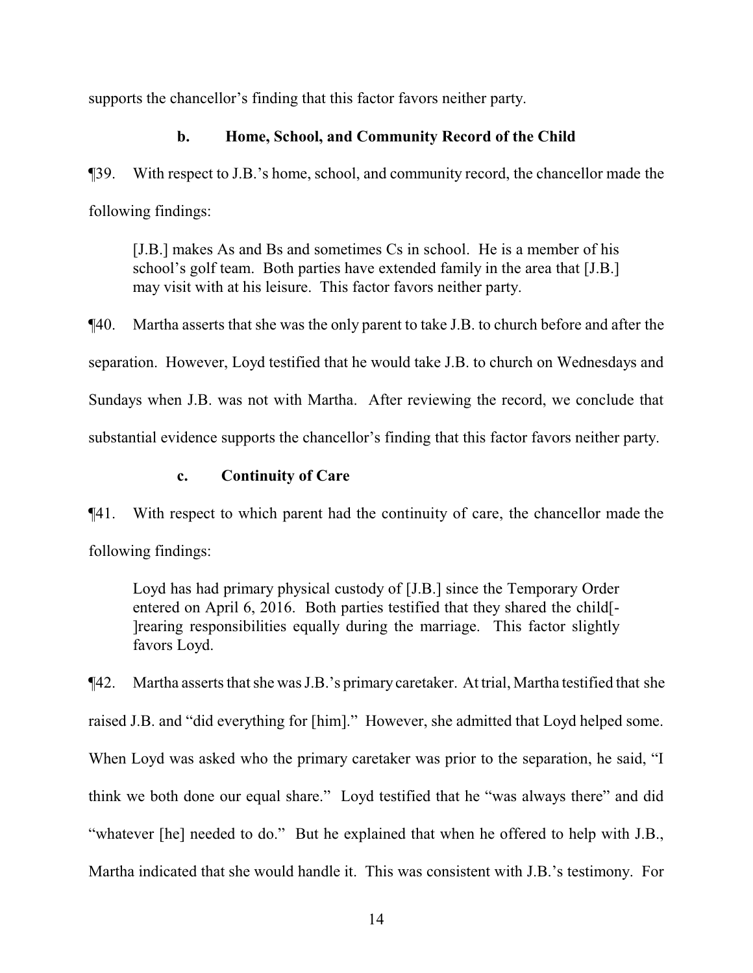supports the chancellor's finding that this factor favors neither party.

# **b. Home, School, and Community Record of the Child**

¶39. With respect to J.B.'s home, school, and community record, the chancellor made the following findings:

[J.B.] makes As and Bs and sometimes Cs in school. He is a member of his school's golf team. Both parties have extended family in the area that [J.B.] may visit with at his leisure. This factor favors neither party.

¶40. Martha asserts that she was the only parent to take J.B. to church before and after the separation. However, Loyd testified that he would take J.B. to church on Wednesdays and Sundays when J.B. was not with Martha. After reviewing the record, we conclude that substantial evidence supports the chancellor's finding that this factor favors neither party.

## **c. Continuity of Care**

¶41. With respect to which parent had the continuity of care, the chancellor made the following findings:

Loyd has had primary physical custody of [J.B.] since the Temporary Order entered on April 6, 2016. Both parties testified that they shared the child[- ]rearing responsibilities equally during the marriage. This factor slightly favors Loyd.

¶42. Martha asserts that she was J.B.'s primary caretaker. At trial, Martha testified that she raised J.B. and "did everything for [him]." However, she admitted that Loyd helped some. When Loyd was asked who the primary caretaker was prior to the separation, he said, "I think we both done our equal share." Loyd testified that he "was always there" and did "whatever [he] needed to do." But he explained that when he offered to help with J.B., Martha indicated that she would handle it. This was consistent with J.B.'s testimony. For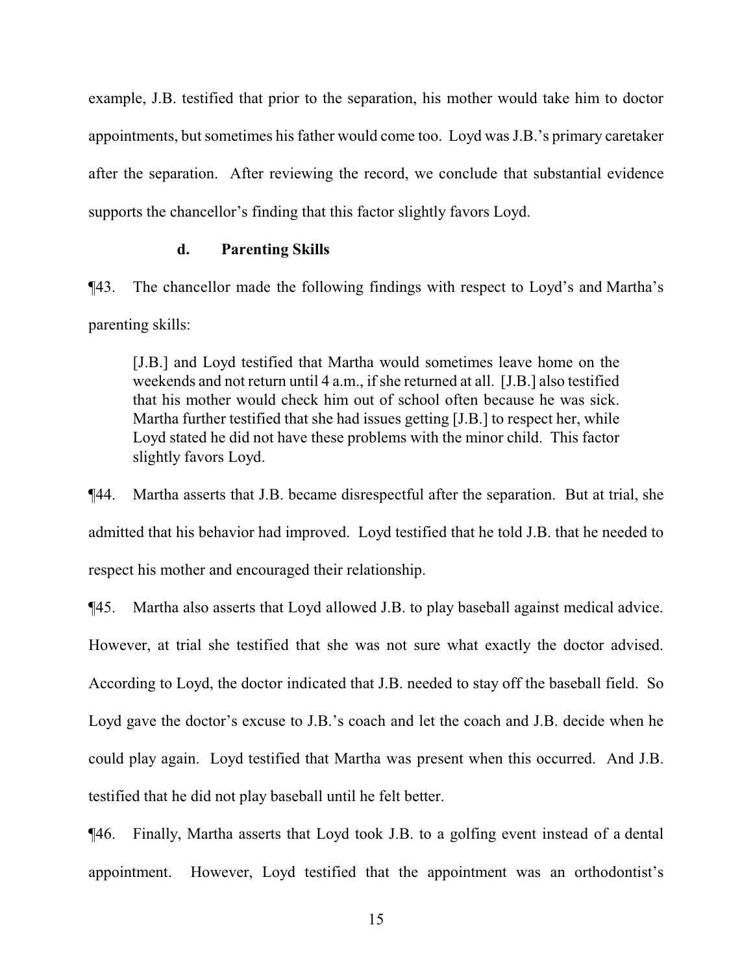example, J.B. testified that prior to the separation, his mother would take him to doctor appointments, but sometimes his father would come too. Loyd was J.B.'s primary caretaker after the separation. After reviewing the record, we conclude that substantial evidence supports the chancellor's finding that this factor slightly favors Loyd.

#### **d. Parenting Skills**

¶43. The chancellor made the following findings with respect to Loyd's and Martha's parenting skills:

[J.B.] and Loyd testified that Martha would sometimes leave home on the weekends and not return until 4 a.m., if she returned at all. [J.B.] also testified that his mother would check him out of school often because he was sick. Martha further testified that she had issues getting [J.B.] to respect her, while Loyd stated he did not have these problems with the minor child. This factor slightly favors Loyd.

¶44. Martha asserts that J.B. became disrespectful after the separation. But at trial, she admitted that his behavior had improved. Loyd testified that he told J.B. that he needed to respect his mother and encouraged their relationship.

¶45. Martha also asserts that Loyd allowed J.B. to play baseball against medical advice. However, at trial she testified that she was not sure what exactly the doctor advised. According to Loyd, the doctor indicated that J.B. needed to stay off the baseball field. So Loyd gave the doctor's excuse to J.B.'s coach and let the coach and J.B. decide when he could play again. Loyd testified that Martha was present when this occurred. And J.B. testified that he did not play baseball until he felt better.

¶46. Finally, Martha asserts that Loyd took J.B. to a golfing event instead of a dental appointment. However, Loyd testified that the appointment was an orthodontist's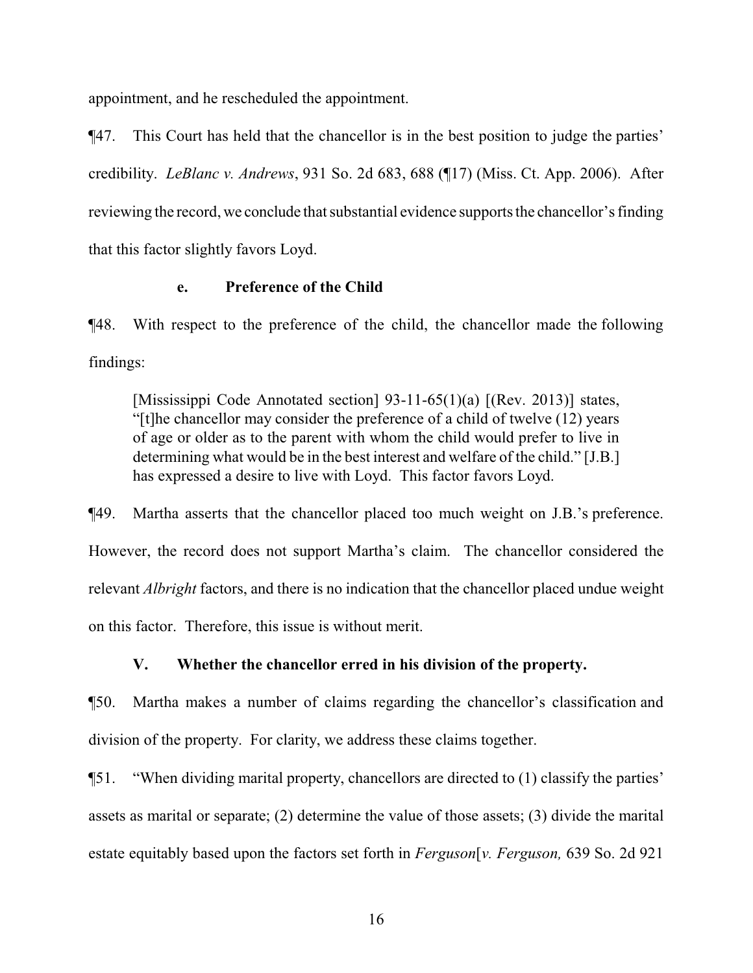appointment, and he rescheduled the appointment.

¶47. This Court has held that the chancellor is in the best position to judge the parties' credibility. *LeBlanc v. Andrews*, 931 So. 2d 683, 688 (¶17) (Miss. Ct. App. 2006). After reviewing the record, we conclude that substantial evidence supports the chancellor's finding that this factor slightly favors Loyd.

## **e. Preference of the Child**

¶48. With respect to the preference of the child, the chancellor made the following findings:

[Mississippi Code Annotated section] 93-11-65(1)(a) [(Rev. 2013)] states, "[t]he chancellor may consider the preference of a child of twelve (12) years of age or older as to the parent with whom the child would prefer to live in determining what would be in the best interest and welfare of the child." [J.B.] has expressed a desire to live with Loyd. This factor favors Loyd.

¶49. Martha asserts that the chancellor placed too much weight on J.B.'s preference. However, the record does not support Martha's claim. The chancellor considered the relevant *Albright* factors, and there is no indication that the chancellor placed undue weight on this factor. Therefore, this issue is without merit.

# **V. Whether the chancellor erred in his division of the property.**

¶50. Martha makes a number of claims regarding the chancellor's classification and division of the property. For clarity, we address these claims together.

¶51. "When dividing marital property, chancellors are directed to (1) classify the parties' assets as marital or separate; (2) determine the value of those assets; (3) divide the marital estate equitably based upon the factors set forth in *Ferguson*[*v. Ferguson,* 639 So. 2d 921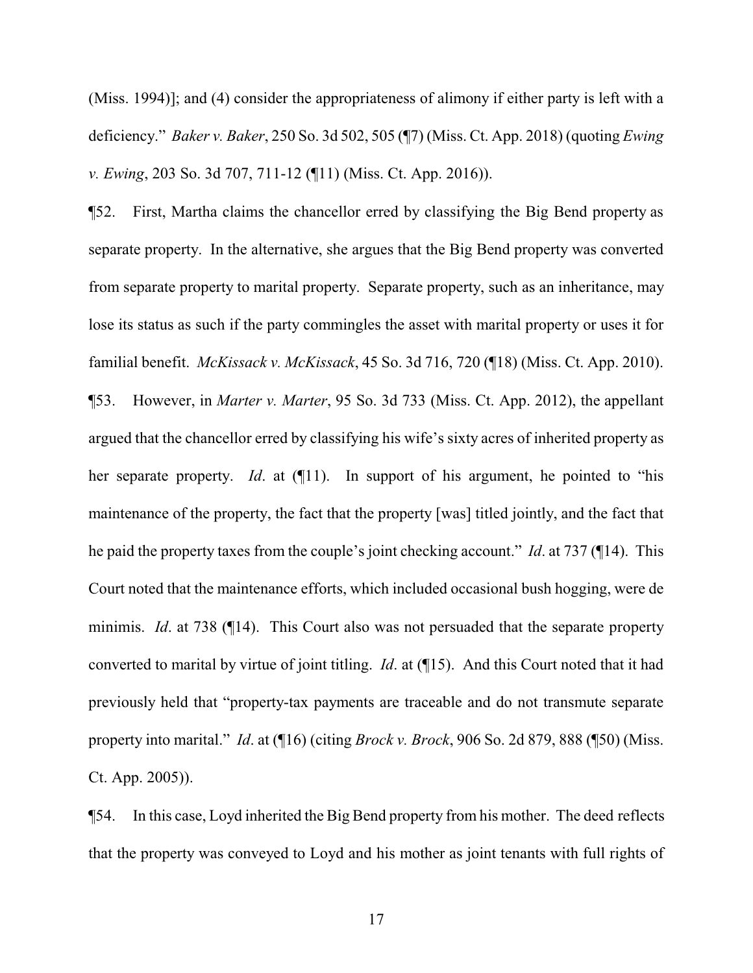(Miss. 1994)]; and (4) consider the appropriateness of alimony if either party is left with a deficiency." *Baker v. Baker*, 250 So. 3d 502, 505 (¶7) (Miss. Ct. App. 2018) (quoting *Ewing v. Ewing*, 203 So. 3d 707, 711-12 (¶11) (Miss. Ct. App. 2016)).

¶52. First, Martha claims the chancellor erred by classifying the Big Bend property as separate property. In the alternative, she argues that the Big Bend property was converted from separate property to marital property. Separate property, such as an inheritance, may lose its status as such if the party commingles the asset with marital property or uses it for familial benefit. *McKissack v. McKissack*, 45 So. 3d 716, 720 (¶18) (Miss. Ct. App. 2010). ¶53. However, in *Marter v. Marter*, 95 So. 3d 733 (Miss. Ct. App. 2012), the appellant argued that the chancellor erred by classifying his wife's sixty acres of inherited property as her separate property. *Id*. at (¶11). In support of his argument, he pointed to "his maintenance of the property, the fact that the property [was] titled jointly, and the fact that he paid the property taxes from the couple's joint checking account." *Id*. at 737 (¶14). This Court noted that the maintenance efforts, which included occasional bush hogging, were de minimis. *Id*. at 738 (¶14). This Court also was not persuaded that the separate property converted to marital by virtue of joint titling. *Id*. at (¶15). And this Court noted that it had previously held that "property-tax payments are traceable and do not transmute separate property into marital." *Id*. at (¶16) (citing *Brock v. Brock*, 906 So. 2d 879, 888 (¶50) (Miss. Ct. App. 2005)).

¶54. In this case, Loyd inherited the Big Bend property from his mother. The deed reflects that the property was conveyed to Loyd and his mother as joint tenants with full rights of

17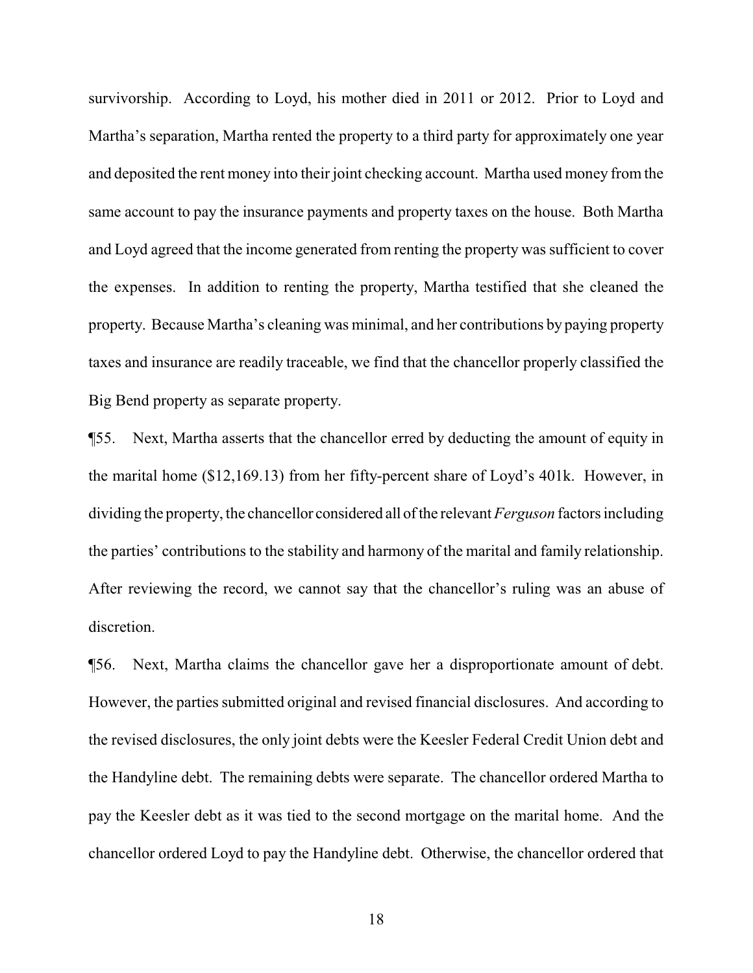survivorship. According to Loyd, his mother died in 2011 or 2012. Prior to Loyd and Martha's separation, Martha rented the property to a third party for approximately one year and deposited the rent money into their joint checking account. Martha used money from the same account to pay the insurance payments and property taxes on the house. Both Martha and Loyd agreed that the income generated from renting the property was sufficient to cover the expenses. In addition to renting the property, Martha testified that she cleaned the property. Because Martha's cleaning was minimal, and her contributions by paying property taxes and insurance are readily traceable, we find that the chancellor properly classified the Big Bend property as separate property.

¶55. Next, Martha asserts that the chancellor erred by deducting the amount of equity in the marital home (\$12,169.13) from her fifty-percent share of Loyd's 401k. However, in dividing the property, the chancellor considered all of the relevant *Ferguson* factors including the parties' contributions to the stability and harmony of the marital and family relationship. After reviewing the record, we cannot say that the chancellor's ruling was an abuse of discretion.

¶56. Next, Martha claims the chancellor gave her a disproportionate amount of debt. However, the parties submitted original and revised financial disclosures. And according to the revised disclosures, the only joint debts were the Keesler Federal Credit Union debt and the Handyline debt. The remaining debts were separate. The chancellor ordered Martha to pay the Keesler debt as it was tied to the second mortgage on the marital home. And the chancellor ordered Loyd to pay the Handyline debt. Otherwise, the chancellor ordered that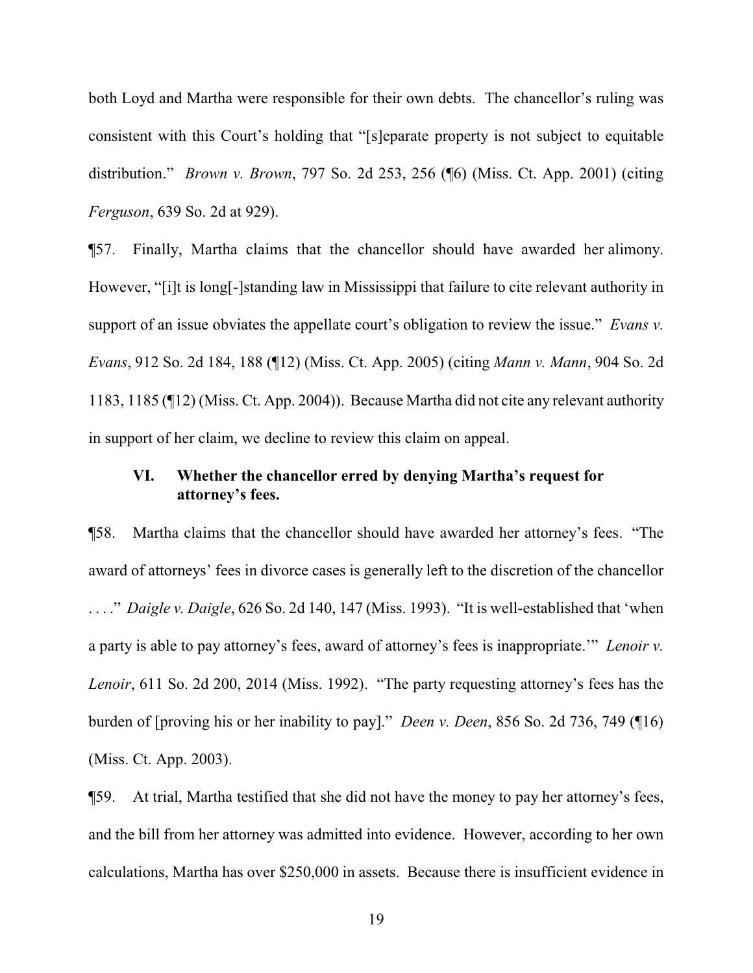both Loyd and Martha were responsible for their own debts. The chancellor's ruling was consistent with this Court's holding that "[s]eparate property is not subject to equitable distribution." *Brown v. Brown*, 797 So. 2d 253, 256 (¶6) (Miss. Ct. App. 2001) (citing *Ferguson*, 639 So. 2d at 929).

¶57. Finally, Martha claims that the chancellor should have awarded her alimony. However, "[i]t is long[-]standing law in Mississippi that failure to cite relevant authority in support of an issue obviates the appellate court's obligation to review the issue." *Evans v. Evans*, 912 So. 2d 184, 188 (¶12) (Miss. Ct. App. 2005) (citing *Mann v. Mann*, 904 So. 2d 1183, 1185 (¶12) (Miss. Ct. App. 2004)). Because Martha did not cite any relevant authority in support of her claim, we decline to review this claim on appeal.

# **VI. Whether the chancellor erred by denying Martha's request for attorney's fees.**

¶58. Martha claims that the chancellor should have awarded her attorney's fees. "The award of attorneys' fees in divorce cases is generally left to the discretion of the chancellor . . . ." *Daigle v. Daigle*, 626 So. 2d 140, 147 (Miss. 1993). "It is well-established that 'when a party is able to pay attorney's fees, award of attorney's fees is inappropriate.'" *Lenoir v. Lenoir*, 611 So. 2d 200, 2014 (Miss. 1992). "The party requesting attorney's fees has the burden of [proving his or her inability to pay]." *Deen v. Deen*, 856 So. 2d 736, 749 (¶16) (Miss. Ct. App. 2003).

¶59. At trial, Martha testified that she did not have the money to pay her attorney's fees, and the bill from her attorney was admitted into evidence. However, according to her own calculations, Martha has over \$250,000 in assets. Because there is insufficient evidence in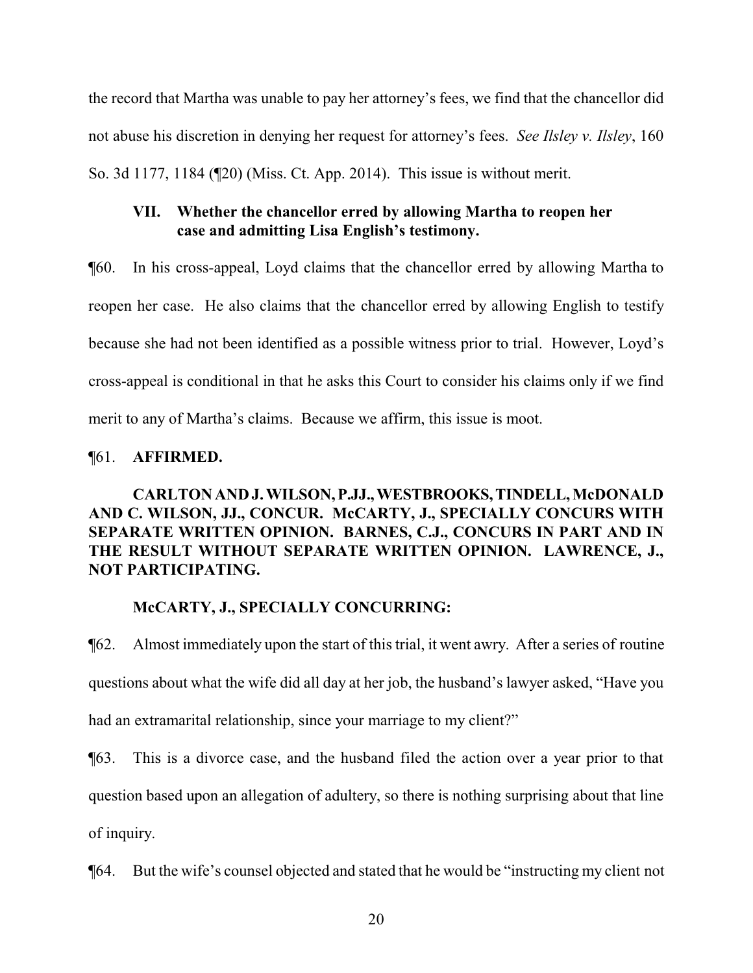the record that Martha was unable to pay her attorney's fees, we find that the chancellor did not abuse his discretion in denying her request for attorney's fees. *See Ilsley v. Ilsley*, 160 So. 3d 1177, 1184 (¶20) (Miss. Ct. App. 2014). This issue is without merit.

# **VII. Whether the chancellor erred by allowing Martha to reopen her case and admitting Lisa English's testimony.**

¶60. In his cross-appeal, Loyd claims that the chancellor erred by allowing Martha to reopen her case. He also claims that the chancellor erred by allowing English to testify because she had not been identified as a possible witness prior to trial. However, Loyd's cross-appeal is conditional in that he asks this Court to consider his claims only if we find merit to any of Martha's claims. Because we affirm, this issue is moot.

# ¶61. **AFFIRMED.**

# **CARLTON AND J. WILSON,P.JJ.,WESTBROOKS,TINDELL, McDONALD AND C. WILSON, JJ., CONCUR. McCARTY, J., SPECIALLY CONCURS WITH SEPARATE WRITTEN OPINION. BARNES, C.J., CONCURS IN PART AND IN THE RESULT WITHOUT SEPARATE WRITTEN OPINION. LAWRENCE, J., NOT PARTICIPATING.**

# **McCARTY, J., SPECIALLY CONCURRING:**

¶62. Almost immediately upon the start of this trial, it went awry. After a series of routine questions about what the wife did all day at her job, the husband's lawyer asked, "Have you had an extramarital relationship, since your marriage to my client?"

¶63. This is a divorce case, and the husband filed the action over a year prior to that

question based upon an allegation of adultery, so there is nothing surprising about that line

of inquiry.

¶64. But the wife's counsel objected and stated that he would be "instructing my client not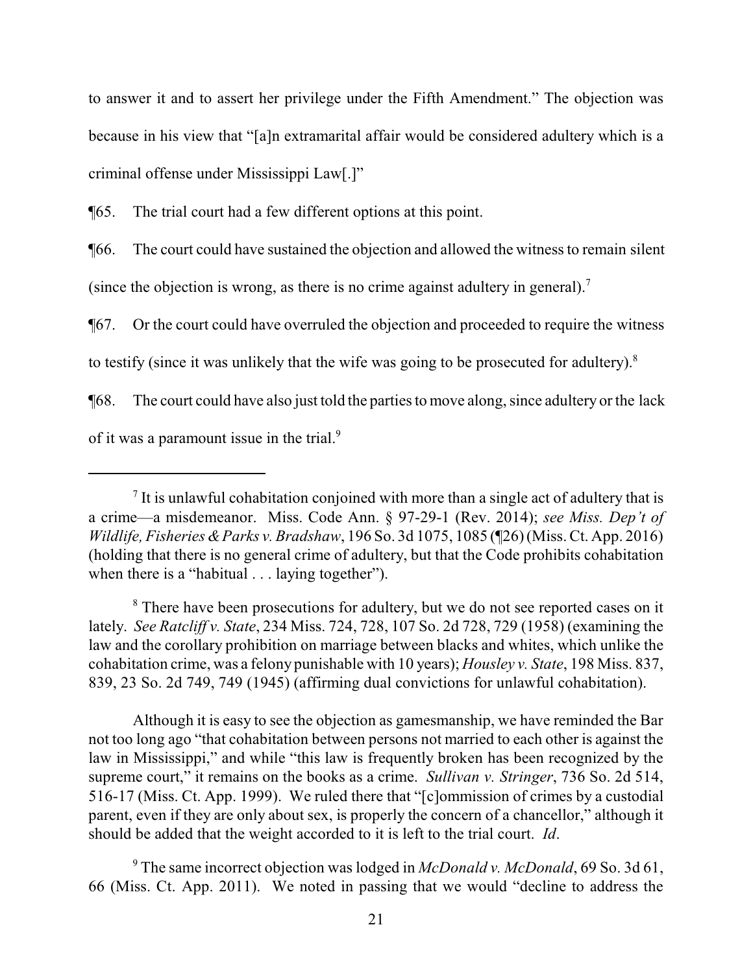to answer it and to assert her privilege under the Fifth Amendment." The objection was because in his view that "[a]n extramarital affair would be considered adultery which is a criminal offense under Mississippi Law[.]"

¶65. The trial court had a few different options at this point.

¶66. The court could have sustained the objection and allowed the witness to remain silent (since the objection is wrong, as there is no crime against adultery in general).<sup>7</sup>

¶67. Or the court could have overruled the objection and proceeded to require the witness

to testify (since it was unlikely that the wife was going to be prosecuted for adultery).<sup>8</sup>

¶68. The court could have also just told the parties to move along, since adultery or the lack

of it was a paramount issue in the trial.<sup>9</sup>

<sup>8</sup> There have been prosecutions for adultery, but we do not see reported cases on it lately. *See Ratcliff v. State*, 234 Miss. 724, 728, 107 So. 2d 728, 729 (1958) (examining the law and the corollary prohibition on marriage between blacks and whites, which unlike the cohabitation crime, was a felony punishable with 10 years); *Housley v. State*, 198 Miss. 837, 839, 23 So. 2d 749, 749 (1945) (affirming dual convictions for unlawful cohabitation).

Although it is easy to see the objection as gamesmanship, we have reminded the Bar not too long ago "that cohabitation between persons not married to each other is against the law in Mississippi," and while "this law is frequently broken has been recognized by the supreme court," it remains on the books as a crime. *Sullivan v. Stringer*, 736 So. 2d 514, 516-17 (Miss. Ct. App. 1999). We ruled there that "[c]ommission of crimes by a custodial parent, even if they are only about sex, is properly the concern of a chancellor," although it should be added that the weight accorded to it is left to the trial court. *Id*.

<sup>9</sup> The same incorrect objection was lodged in *McDonald v. McDonald*, 69 So. 3d 61, 66 (Miss. Ct. App. 2011). We noted in passing that we would "decline to address the

 $<sup>7</sup>$  It is unlawful cohabitation conjoined with more than a single act of adultery that is</sup> a crime—a misdemeanor. Miss. Code Ann. § 97-29-1 (Rev. 2014); *see Miss. Dep't of Wildlife, Fisheries &Parks v. Bradshaw*, 196 So. 3d 1075, 1085 (¶26) (Miss. Ct. App. 2016) (holding that there is no general crime of adultery, but that the Code prohibits cohabitation when there is a "habitual . . . laying together").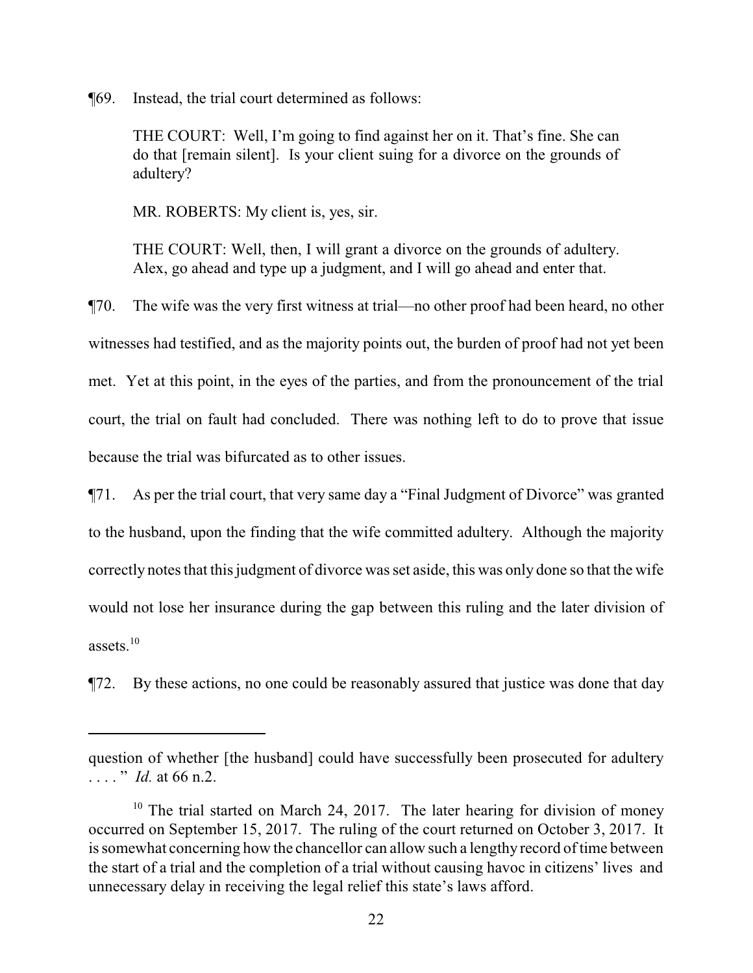¶69. Instead, the trial court determined as follows:

THE COURT: Well, I'm going to find against her on it. That's fine. She can do that [remain silent]. Is your client suing for a divorce on the grounds of adultery?

MR. ROBERTS: My client is, yes, sir.

THE COURT: Well, then, I will grant a divorce on the grounds of adultery. Alex, go ahead and type up a judgment, and I will go ahead and enter that.

¶70. The wife was the very first witness at trial—no other proof had been heard, no other witnesses had testified, and as the majority points out, the burden of proof had not yet been met. Yet at this point, in the eyes of the parties, and from the pronouncement of the trial court, the trial on fault had concluded. There was nothing left to do to prove that issue because the trial was bifurcated as to other issues.

¶71. As per the trial court, that very same day a "Final Judgment of Divorce" was granted to the husband, upon the finding that the wife committed adultery. Although the majority correctly notes that this judgment of divorce was set aside, this was only done so that the wife would not lose her insurance during the gap between this ruling and the later division of assets.<sup>10</sup>

¶72. By these actions, no one could be reasonably assured that justice was done that day

question of whether [the husband] could have successfully been prosecuted for adultery . . . . " *Id.* at 66 n.2.

<sup>&</sup>lt;sup>10</sup> The trial started on March 24, 2017. The later hearing for division of money occurred on September 15, 2017. The ruling of the court returned on October 3, 2017. It is somewhat concerning how the chancellor can allow such a lengthy record of time between the start of a trial and the completion of a trial without causing havoc in citizens' lives and unnecessary delay in receiving the legal relief this state's laws afford.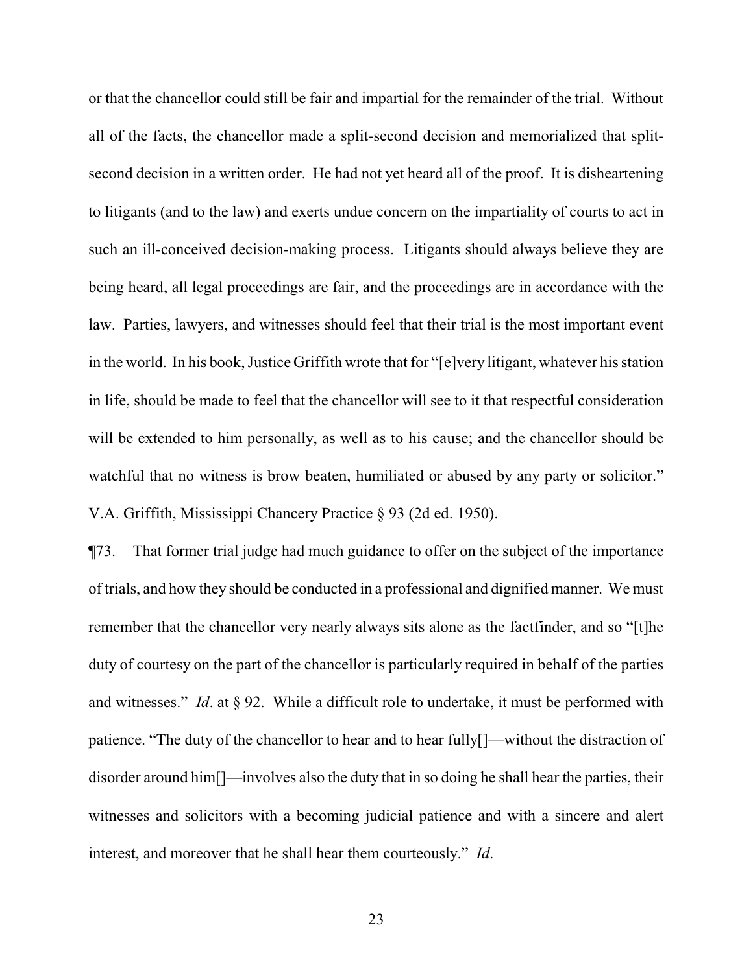or that the chancellor could still be fair and impartial for the remainder of the trial. Without all of the facts, the chancellor made a split-second decision and memorialized that splitsecond decision in a written order. He had not yet heard all of the proof. It is disheartening to litigants (and to the law) and exerts undue concern on the impartiality of courts to act in such an ill-conceived decision-making process. Litigants should always believe they are being heard, all legal proceedings are fair, and the proceedings are in accordance with the law. Parties, lawyers, and witnesses should feel that their trial is the most important event in the world. In his book, Justice Griffith wrote that for "[e]very litigant, whatever his station in life, should be made to feel that the chancellor will see to it that respectful consideration will be extended to him personally, as well as to his cause; and the chancellor should be watchful that no witness is brow beaten, humiliated or abused by any party or solicitor." V.A. Griffith, Mississippi Chancery Practice § 93 (2d ed. 1950).

¶73. That former trial judge had much guidance to offer on the subject of the importance of trials, and how they should be conducted in a professional and dignified manner. We must remember that the chancellor very nearly always sits alone as the factfinder, and so "[t]he duty of courtesy on the part of the chancellor is particularly required in behalf of the parties and witnesses." *Id*. at § 92. While a difficult role to undertake, it must be performed with patience. "The duty of the chancellor to hear and to hear fully[]—without the distraction of disorder around him[]—involves also the duty that in so doing he shall hear the parties, their witnesses and solicitors with a becoming judicial patience and with a sincere and alert interest, and moreover that he shall hear them courteously." *Id*.